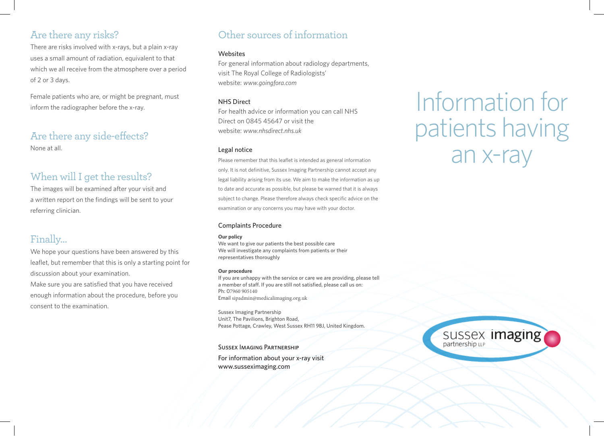## Are there any risks?

There are risks involved with x-rays, but a plain x-ray uses a small amount of radiation, equivalent to that which we all receive from the atmosphere over a period of 2 or 3 days.

Female patients who are, or might be pregnant, must inform the radiographer before the x-ray.

# Are there any side-effects?

None at all.

### When will I get the results?

The images will be examined after your visit and a written report on the findings will be sent to your referring clinician.

## Finally…

We hope your questions have been answered by this leaflet, but remember that this is only a starting point for discussion about your examination. Make sure you are satisfied that you have received enough information about the procedure, before you consent to the examination.

# Other sources of information

#### Websites

For general information about radiology departments, visit The Royal College of Radiologists' website: *www.goingfora.com*

#### NHS Direct

For health advice or information you can call NHS Direct on 0845 45647 or visit the website: *www.nhsdirect.nhs.uk* 

#### Legal notice

Please remember that this leaflet is intended as general information only. It is not definitive, Sussex Imaging Partnership cannot accept any legal liability arising from its use. We aim to make the information as up to date and accurate as possible, but please be warned that it is always subject to change. Please therefore always check specific advice on the examination or any concerns you may have with your doctor.

#### Complaints Procedure

#### **Our policy**

We want to give our patients the best possible care We will investigate any complaints from patients or their representatives thoroughly

#### **Our procedure**

If you are unhappy with the service or care we are providing, please tell a member of staff. If you are still not satisfied, please call us on: Ph: 07960 905140 Email sipadmin@medicalimaging.org.uk

Sussex Imaging Partnership Unit7, The Pavilions, Brighton Road, Pease Pottage, Crawley, West Sussex RH11 9BJ, United Kingdom.

Sussex Imaging Partnership

For information about your x-ray visit www.susseximaging.com

# Information for patients having an x-ray